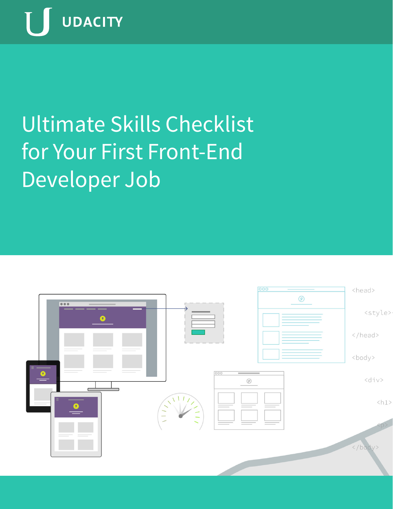

# Ultimate Skills Checklist for Your First Front-End Developer Job

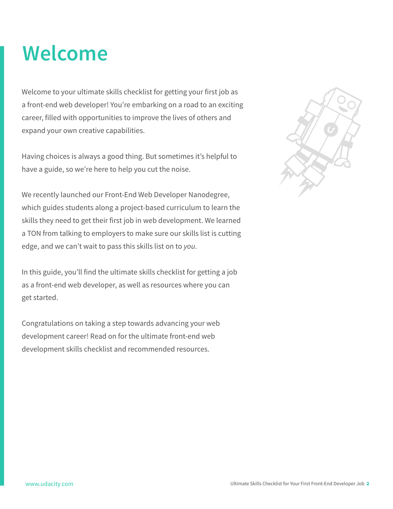#### **Welcome**

Welcome to your ultimate skills checklist for getting your first job as a front-end web developer! You're embarking on a road to an exciting career, filled with opportunities to improve the lives of others and expand your own creative capabilities.

Having choices is always a good thing. But sometimes it's helpful to have a guide, so we're here to help you cut the noise.

We recently launched our Front-End Web Developer Nanodegree, which guides students along a project-based curriculum to learn the skills they need to get their first job in web development. We learned a TON from talking to employers to make sure our skills list is cutting edge, and we can't wait to pass this skills list on to *you*.

In this guide, you'll find the ultimate skills checklist for getting a job as a front-end web developer, as well as resources where you can get started.

Congratulations on taking a step towards advancing your web development career! Read on for the ultimate front-end web development skills checklist and recommended resources.

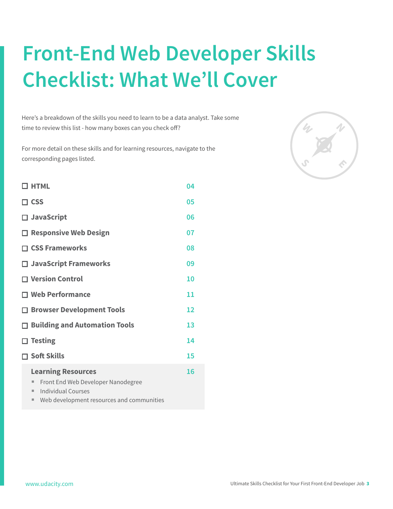## **Front-End Web Developer Skills Checklist: What We'll Cover**

Here's a breakdown of the skills you need to learn to be a data analyst. Take some time to review this list - how many boxes can you check off?

For more detail on these skills and for learning resources, navigate to the corresponding pages listed.

| $\square$ HTML                                                                                                                                           | 04 |
|----------------------------------------------------------------------------------------------------------------------------------------------------------|----|
| $\Box$ CSS                                                                                                                                               | 05 |
| □ JavaScript                                                                                                                                             | 06 |
| $\Box$ Responsive Web Design                                                                                                                             | 07 |
| $\Box$ CSS Frameworks                                                                                                                                    | 08 |
| $\Box$ JavaScript Frameworks                                                                                                                             | 09 |
| $\Box$ Version Control                                                                                                                                   | 10 |
| <b>T Web Performance</b>                                                                                                                                 | 11 |
| □ Browser Development Tools                                                                                                                              | 12 |
| $\Box$ Building and Automation Tools                                                                                                                     | 13 |
| <b>Testing</b>                                                                                                                                           | 14 |
| <b>コ Soft Skills</b>                                                                                                                                     | 15 |
| <b>Learning Resources</b><br>Front End Web Developer Nanodegree<br>ш<br><b>Individual Courses</b><br>٠<br>Web development resources and communities<br>٠ | 16 |

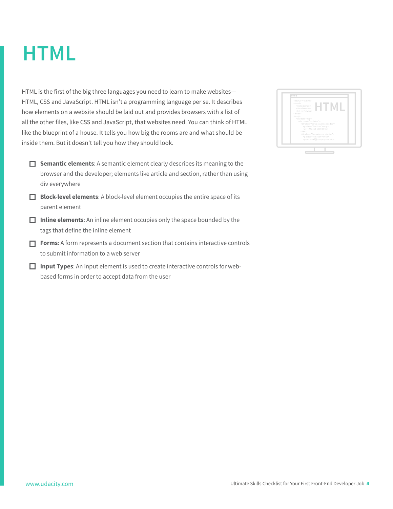#### <span id="page-3-0"></span>**HTML**

HTML is the first of the big three languages you need to learn to make websites— HTML, CSS and JavaScript. HTML isn't a programming language per se. It describes how elements on a website should be laid out and provides browsers with a list of all the other files, like CSS and JavaScript, that websites need. You can think of HTML like the blueprint of a house. It tells you how big the rooms are and what should be inside them. But it doesn't tell you how they should look.

- **Semantic elements**: A semantic element clearly describes its meaning to the browser and the developer; elements like article and section, rather than using div everywhere
- **Block-level elements**: A block-level element occupies the entire space of its parent element
- **Inline elements:** An inline element occupies only the space bounded by the tags that define the inline element
- **Forms**: A form represents a document section that contains interactive controls to submit information to a web server
- **Input Types**: An input element is used to create interactive controls for webbased forms in order to accept data from the user

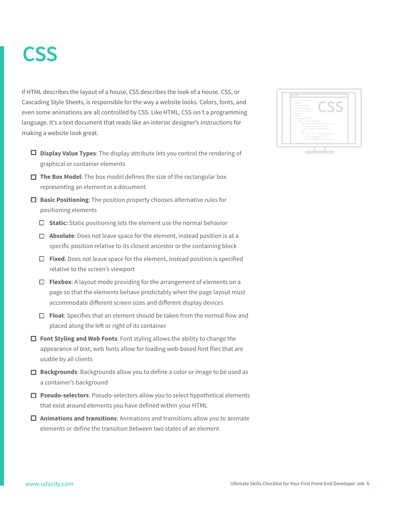#### <span id="page-4-0"></span>**CSS**

If HTML describes the layout of a house, CSS describes the look of a house. CSS, or Cascading Style Sheets, is responsible for the way a website looks. Colors, fonts, and even some animations are all controlled by CSS. Like HTML, CSS isn't a programming language. It's a text document that reads like an interior designer's instructions for making a website look great.

- **Display Value Types**: The display attribute lets you control the rendering of graphical or container elements
- **The Box Model:** The box model defines the size of the rectangular box representing an element in a document
- **Basic Positioning**: The position property chooses alternative rules for positioning elements
	- **Static:** Static positioning lets the element use the normal behavior
	- **Absolute**: Does not leave space for the element, instead position is at a specific position relative to its closest ancestor or the containing block
	- **Fixed**: Does not leave space for the element, instead position is specified relative to the screen's viewport
	- **Flexbox**: A layout mode providing for the arrangement of elements on a page so that the elements behave predictably when the page layout must accommodate different screen sizes and different display devices
	- **Float**: Specifies that an element should be taken from the normal flow and placed along the left or right of its container
- **Font Styling and Web Fonts:** Font styling allows the ability to change the appearance of text; web fonts allow for loading web-based font files that are usable by all clients
- **Backgrounds**: Backgrounds allow you to define a color or image to be used as a container's background
- **Pseudo-selectors**: Pseudo-selectors allow you to select hypothetical elements that exist around elements you have defined within your HTML
- **Animations and transitions**: Animations and transitions allow you to animate elements or define the transition between two states of an element

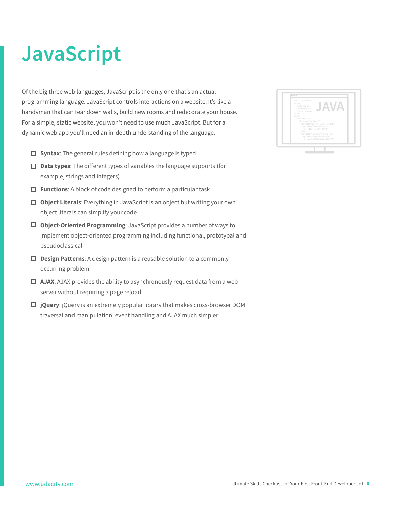## <span id="page-5-0"></span>**JavaScript**

Of the big three web languages, JavaScript is the only one that's an actual programming language. JavaScript controls interactions on a website. It's like a handyman that can tear down walls, build new rooms and redecorate your house. For a simple, static website, you won't need to use much JavaScript. But for a dynamic web app you'll need an in-depth understanding of the language.

- $\Box$  Syntax: The general rules defining how a language is typed
- **Data types**: The different types of variables the language supports (for example, strings and integers)
- **Functions**: A block of code designed to perform a particular task
- **Object Literals**: Everything in JavaScript is an object but writing your own object literals can simplify your code
- **Object-Oriented Programming**: JavaScript provides a number of ways to implement object-oriented programming including functional, prototypal and pseudoclassical
- **Design Patterns**: A design pattern is a reusable solution to a commonlyoccurring problem
- $\Box$  **AJAX:** AJAX provides the ability to asynchronously request data from a web server without requiring a page reload
- **jQuery**: jQuery is an extremely popular library that makes cross-browser DOM traversal and manipulation, event handling and AJAX much simpler

| <div dass="container"><br/><div class="three columns info-top"><br/><p class="font-lcon">g</p><br/><p>(123)-456-789-00</p><br/></div><br/><div class="four columns info-top"><br/><p class="font-icon">w</p></div></div> | html<br><head><br/><meta charset="utf-8"/><title>Awesome<br/><link rel="stylesh&lt;br&gt;&lt;/head&gt;&lt;br&gt;&lt;body&gt;&lt;br&gt;&lt;div class=" top"=""/></title></head> |
|--------------------------------------------------------------------------------------------------------------------------------------------------------------------------------------------------------------------------|--------------------------------------------------------------------------------------------------------------------------------------------------------------------------------|
|--------------------------------------------------------------------------------------------------------------------------------------------------------------------------------------------------------------------------|--------------------------------------------------------------------------------------------------------------------------------------------------------------------------------|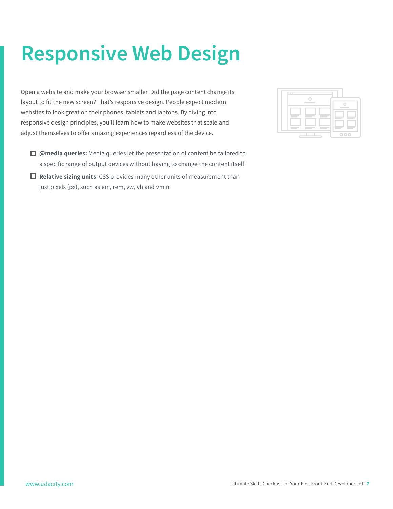## <span id="page-6-0"></span>**Responsive Web Design**

Open a website and make your browser smaller. Did the page content change its layout to fit the new screen? That's responsive design. People expect modern websites to look great on their phones, tablets and laptops. By diving into responsive design principles, you'll learn how to make websites that scale and adjust themselves to offer amazing experiences regardless of the device.

- **@media queries:** Media queries let the presentation of content be tailored to a specific range of output devices without having to change the content itself
- **Relative sizing units**: CSS provides many other units of measurement than just pixels (px), such as em, rem, vw, vh and vmin

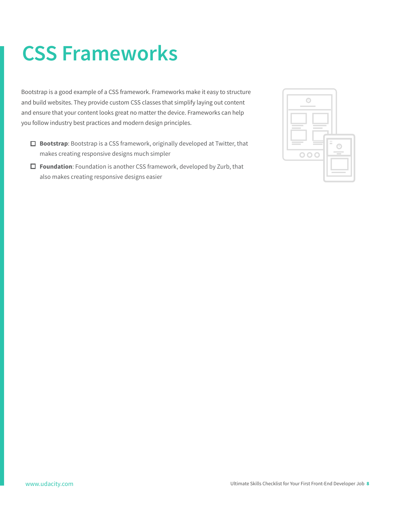### <span id="page-7-0"></span>**CSS Frameworks**

Bootstrap is a good example of a CSS framework. Frameworks make it easy to structure and build websites. They provide custom CSS classes that simplify laying out content and ensure that your content looks great no matter the device. Frameworks can help you follow industry best practices and modern design principles.

- **Bootstrap**: Bootstrap is a CSS framework, originally developed at Twitter, that makes creating responsive designs much simpler
- **Foundation**: Foundation is another CSS framework, developed by Zurb, that also makes creating responsive designs easier

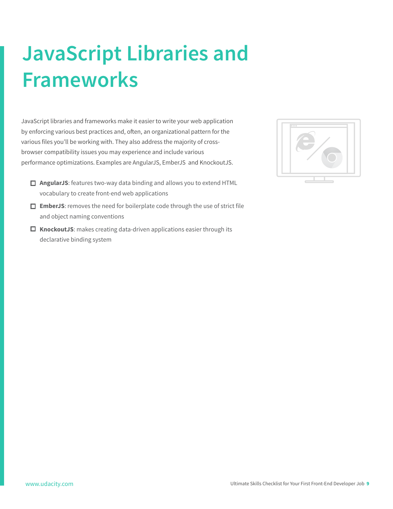## <span id="page-8-0"></span>**JavaScript Libraries and Frameworks**

JavaScript libraries and frameworks make it easier to write your web application by enforcing various best practices and, often, an organizational pattern for the various files you'll be working with. They also address the majority of crossbrowser compatibility issues you may experience and include various performance optimizations. Examples are AngularJS, EmberJS and KnockoutJS.

- **AngularJS**: features two-way data binding and allows you to extend HTML vocabulary to create front-end web applications
- **EmberJS**: removes the need for boilerplate code through the use of strict file and object naming conventions
- **KnockoutJS**: makes creating data-driven applications easier through its declarative binding system

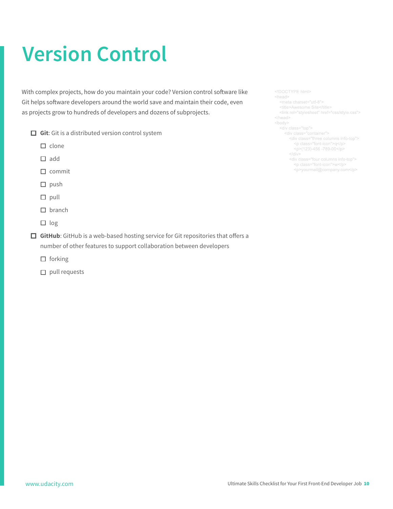## <span id="page-9-0"></span>**Version Control**

With complex projects, how do you maintain your code? Version control software like Git helps software developers around the world save and maintain their code, even as projects grow to hundreds of developers and dozens of subprojects.

- **Git:** Git is a distributed version control system
	- $\Box$  clone
	- $\square$  add
	- $\square$  commit
	- $\square$  push
	- $\square$  pull
	- $\square$  branch
	- $\Box$  log

 **GitHub**: GitHub is a web-based hosting service for Git repositories that offers a number of other features to support collaboration between developers

- $\Box$  forking
- $\square$  pull requests

<div class="container"> <div class="three columns info-top"> <p class="font-icon">q</p> <p>(123)-456 -789-00</p> <div class="four columns info-top">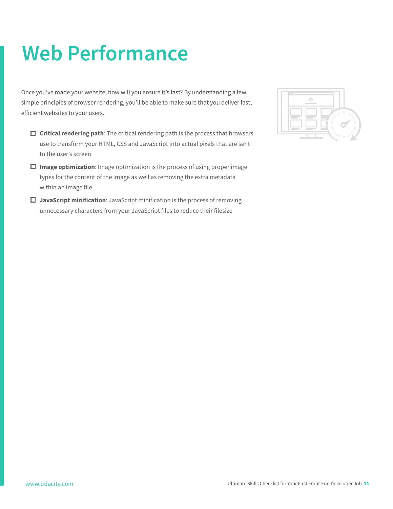### <span id="page-10-0"></span>**Web Performance**

Once you've made your website, how will you ensure it's fast? By understanding a few simple principles of browser rendering, you'll be able to make sure that you deliver fast, efficient websites to your users.

- **Critical rendering path**: The critical rendering path is the process that browsers use to transform your HTML, CSS and JavaScript into actual pixels that are sent to the user's screen
- **Image optimization**: Image optimization is the process of using proper image types for the content of the image as well as removing the extra metadata within an image file
- **JavaScript minification**: JavaScript minification is the process of removing unnecessary characters from your JavaScript files to reduce their filesize

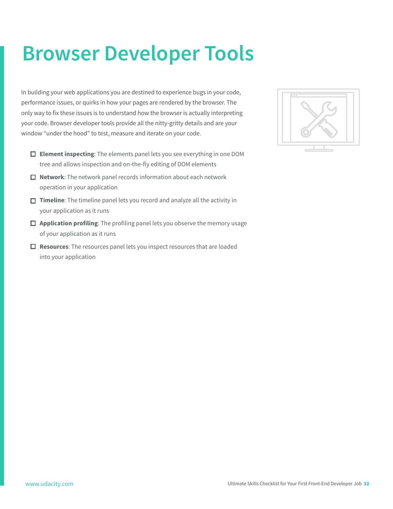### <span id="page-11-0"></span>**Browser Developer Tools**

In building your web applications you are destined to experience bugs in your code, performance issues, or quirks in how your pages are rendered by the browser. The only way to fix these issues is to understand how the browser is actually interpreting your code. Browser developer tools provide all the nitty-gritty details and are your window "under the hood" to test, measure and iterate on your code.

- **Element inspecting**: The elements panel lets you see everything in one DOM tree and allows inspection and on-the-fly editing of DOM elements
- **Network**: The network panel records information about each network operation in your application
- **Timeline**: The timeline panel lets you record and analyze all the activity in your application as it runs
- **Application profiling**: The profiling panel lets you observe the memory usage of your application as it runs
- **Resources**: The resources panel lets you inspect resources that are loaded into your application

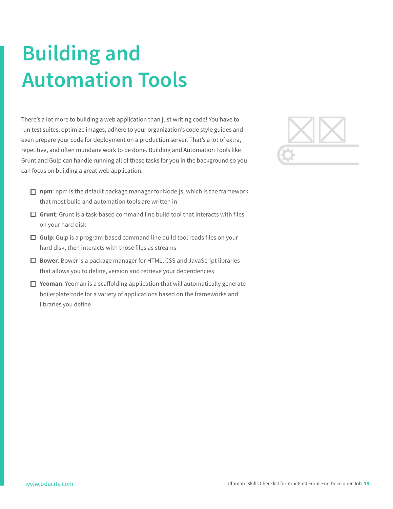## <span id="page-12-0"></span>**Building and Automation Tools**

There's a lot more to building a web application than just writing code! You have to run test suites, optimize images, adhere to your organization's code style guides and even prepare your code for deployment on a production server. That's a lot of extra, repetitive, and often mundane work to be done. Building and Automation Tools like Grunt and Gulp can handle running all of these tasks for you in the background so you can focus on building a great web application.



- **npm**: npm is the default package manager for Node.js, which is the framework that most build and automation tools are written in
- **Grunt**: Grunt is a task-based command line build tool that interacts with files on your hard disk
- **Gulp**: Gulp is a program-based command line build tool reads files on your hard disk, then interacts with those files as streams
- **Bower**: Bower is a package manager for HTML, CSS and JavaScript libraries that allows you to define, version and retrieve your dependencies
- **Yeoman**: Yeoman is a scaffolding application that will automatically generate boilerplate code for a variety of applications based on the frameworks and libraries you define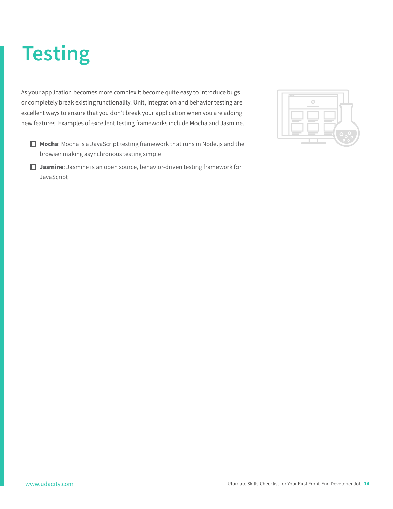## <span id="page-13-0"></span>**Testing**

As your application becomes more complex it become quite easy to introduce bugs or completely break existing functionality. Unit, integration and behavior testing are excellent ways to ensure that you don't break your application when you are adding new features. Examples of excellent testing frameworks include Mocha and Jasmine.

- **Mocha**: Mocha is a JavaScript testing framework that runs in Node.js and the browser making asynchronous testing simple
- **Jasmine**: Jasmine is an open source, behavior-driven testing framework for JavaScript

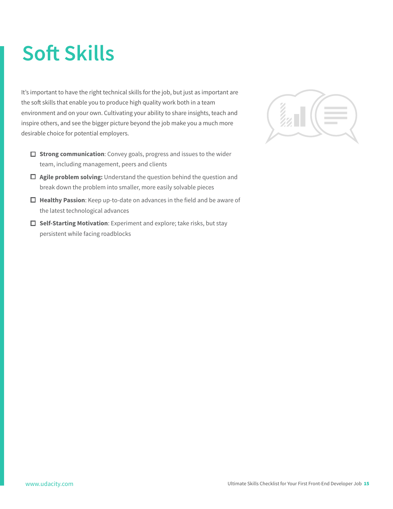## <span id="page-14-0"></span>**Soft Skills**

It's important to have the right technical skills for the job, but just as important are the soft skills that enable you to produce high quality work both in a team environment and on your own. Cultivating your ability to share insights, teach and inspire others, and see the bigger picture beyond the job make you a much more desirable choice for potential employers.

- $\Box$  **Strong communication**: Convey goals, progress and issues to the wider team, including management, peers and clients
- **Agile problem solving:** Understand the question behind the question and break down the problem into smaller, more easily solvable pieces
- **Healthy Passion**: Keep up-to-date on advances in the field and be aware of the latest technological advances
- **Self-Starting Motivation**: Experiment and explore; take risks, but stay persistent while facing roadblocks

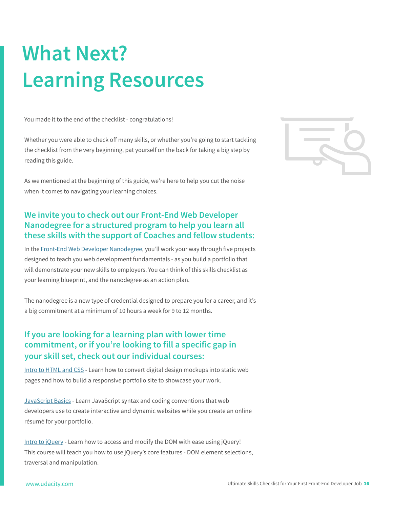## <span id="page-15-0"></span>**What Next? Learning Resources**

You made it to the end of the checklist - congratulations!

Whether you were able to check off many skills, or whether you're going to start tackling the checklist from the very beginning, pat yourself on the back for taking a big step by reading this guide.

As we mentioned at the beginning of this guide, we're here to help you cut the noise when it comes to navigating your learning choices.

#### **We invite you to check out our Front-End Web Developer Nanodegree for a structured program to help you learn all these skills with the support of Coaches and fellow students:**

In the [Front-End Web Developer Nanodegree,](https://www.udacity.com/course/nd001) you'll work your way through five projects designed to teach you web development fundamentals - as you build a portfolio that will demonstrate your new skills to employers. You can think of this skills checklist as your learning blueprint, and the nanodegree as an action plan.

The nanodegree is a new type of credential designed to prepare you for a career, and it's a big commitment at a minimum of 10 hours a week for 9 to 12 months.

#### **If you are looking for a learning plan with lower time commitment, or if you're looking to fill a specific gap in your skill set, check out our individual courses:**

[Intro to HTML and CSS](https://www.udacity.com/course/ud304) - Learn how to convert digital design mockups into static web pages and how to build a responsive portfolio site to showcase your work.

[JavaScript Basics](https://www.udacity.com/course/ud804) - Learn JavaScript syntax and coding conventions that web developers use to create interactive and dynamic websites while you create an online résumé for your portfolio.

[Intro to jQuery -](https://www.udacity.com/course/ud245) Learn how to access and modify the DOM with ease using jQuery! This course will teach you how to use jQuery's core features - DOM element selections, traversal and manipulation.

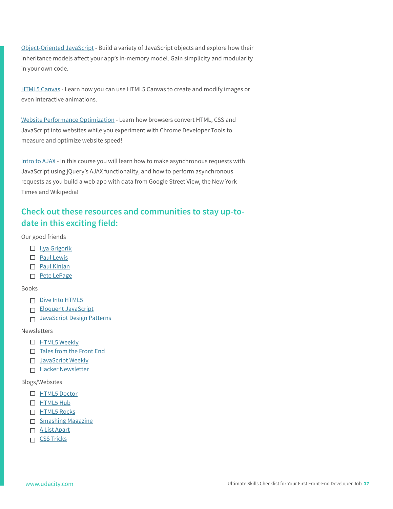[Object-Oriented JavaScript](https://www.udacity.com/course/ud015) - Build a variety of JavaScript objects and explore how their inheritance models affect your app's in-memory model. Gain simplicity and modularity in your own code.

[HTML5 Canvas -](https://www.udacity.com/course/ud292) Learn how you can use HTML5 Canvas to create and modify images or even interactive animations.

[Website Performance Optimization -](https://www.udacity.com/course/ud884) Learn how browsers convert HTML, CSS and JavaScript into websites while you experiment with Chrome Developer Tools to measure and optimize website speed!

[Intro to AJAX -](https://www.udacity.com/course/ud110) In this course you will learn how to make asynchronous requests with JavaScript using jQuery's AJAX functionality, and how to perform asynchronous requests as you build a web app with data from Google Street View, the New York Times and Wikipedia!

#### **Check out these resources and communities to stay up-todate in this exciting field:**

Our good friends

- $\Box$  [Ilya Grigorik](https://www.igvita.com/)
- □ [Paul Lewis](http://aerotwist.com/)
- □ [Paul Kinlan](http://paul.kinlan.me/)
- □ [Pete LePage](http://petelepage.com/)

Books

- $\n **Divel**$  HTML5
- □ [Eloquent JavaScript](http://eloquentjavascript.net/)
- □ [JavaScript Design Patterns](http://addyosmani.com/resources/essentialjsdesignpatterns/book/)

#### Newsletters

- □ [HTML5 Weekly](http://html5weekly.com/)
- $\Box$  [Tales from the Front End](http://tales.colynb.com/)
- □ [JavaScript Weekly](http://javascriptweekly.com/)
- $\Pi$  [Hacker Newsletter](http://www.hackernewsletter.com/)

Blogs/Websites

- $\Box$  [HTML5 Doctor](http://html5doctor.com/)
- □ [HTML5 Hub](http://html5hub.com/)
- □ [HTML5 Rocks](http://www.html5rocks.com/en/)
- $\Box$  [Smashing Magazine](http://www.smashingmagazine.com/)
- □ [A List Apart](http://alistapart.com/)
- $\Box$  CSS Tricks